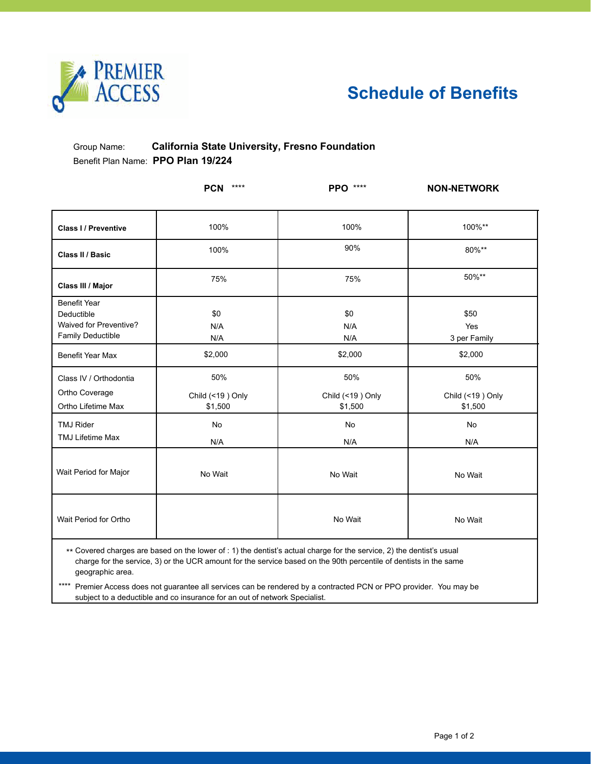

## **Schedule of Benefits**

### Group Name: **California State University, Fresno Foundation** Benefit Plan Name: **PPO Plan 19/224**

|                                                                                  | $***$<br><b>PCN</b>                | <b>PPO</b> ****                                                                                                                                                                                                                            | <b>NON-NETWORK</b>                 |
|----------------------------------------------------------------------------------|------------------------------------|--------------------------------------------------------------------------------------------------------------------------------------------------------------------------------------------------------------------------------------------|------------------------------------|
| <b>Class I/ Preventive</b>                                                       | 100%                               | 100%                                                                                                                                                                                                                                       | 100%**                             |
| Class II / Basic                                                                 | 100%                               | 90%                                                                                                                                                                                                                                        | 80%**                              |
| Class III / Major                                                                | 75%                                | 75%                                                                                                                                                                                                                                        | 50%**                              |
| <b>Benefit Year</b><br>Deductible<br>Waived for Preventive?<br>Family Deductible | \$0<br>N/A<br>N/A                  | \$0<br>N/A<br>N/A                                                                                                                                                                                                                          | \$50<br>Yes<br>3 per Family        |
| Benefit Year Max                                                                 | \$2,000                            | \$2,000                                                                                                                                                                                                                                    | \$2,000                            |
| Class IV / Orthodontia<br>Ortho Coverage<br>Ortho Lifetime Max                   | 50%<br>Child (<19) Only<br>\$1,500 | 50%<br>Child (<19) Only<br>\$1,500                                                                                                                                                                                                         | 50%<br>Child (<19) Only<br>\$1,500 |
| <b>TMJ Rider</b><br><b>TMJ Lifetime Max</b>                                      | No<br>N/A                          | No<br>N/A                                                                                                                                                                                                                                  | No<br>N/A                          |
| Wait Period for Major                                                            | No Wait                            | No Wait                                                                                                                                                                                                                                    | No Wait                            |
| Wait Period for Ortho                                                            |                                    | No Wait                                                                                                                                                                                                                                    | No Wait                            |
| geographic area.                                                                 |                                    | ** Covered charges are based on the lower of : 1) the dentist's actual charge for the service, 2) the dentist's usual<br>charge for the service, 3) or the UCR amount for the service based on the 90th percentile of dentists in the same |                                    |

\*\*\*\* Premier Access does not guarantee all services can be rendered by a contracted PCN or PPO provider. You may be subject to a deductible and co insurance for an out of network Specialist.